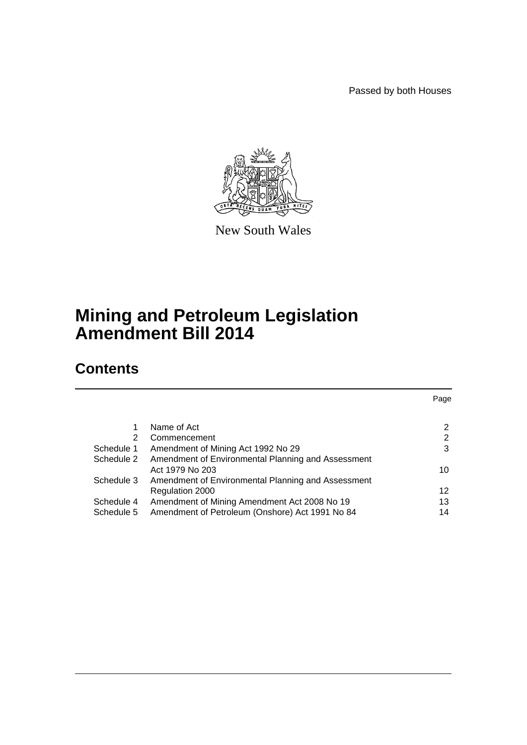Passed by both Houses



New South Wales

# **Mining and Petroleum Legislation Amendment Bill 2014**

# **Contents**

|            |                                                    | Page |
|------------|----------------------------------------------------|------|
|            |                                                    |      |
|            | Name of Act                                        | 2    |
| 2          | Commencement                                       | 2    |
| Schedule 1 | Amendment of Mining Act 1992 No 29                 | 3    |
| Schedule 2 | Amendment of Environmental Planning and Assessment |      |
|            | Act 1979 No 203                                    | 10   |
| Schedule 3 | Amendment of Environmental Planning and Assessment |      |
|            | Regulation 2000                                    | 12   |
| Schedule 4 | Amendment of Mining Amendment Act 2008 No 19       | 13   |
| Schedule 5 | Amendment of Petroleum (Onshore) Act 1991 No 84    | 14   |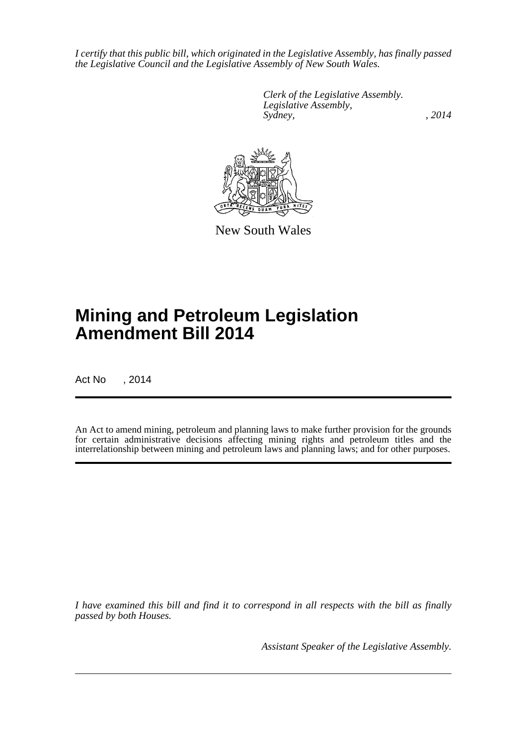*I certify that this public bill, which originated in the Legislative Assembly, has finally passed the Legislative Council and the Legislative Assembly of New South Wales.*

> *Clerk of the Legislative Assembly. Legislative Assembly, Sydney,* , 2014



New South Wales

# **Mining and Petroleum Legislation Amendment Bill 2014**

Act No , 2014

An Act to amend mining, petroleum and planning laws to make further provision for the grounds for certain administrative decisions affecting mining rights and petroleum titles and the interrelationship between mining and petroleum laws and planning laws; and for other purposes.

*I have examined this bill and find it to correspond in all respects with the bill as finally passed by both Houses.*

*Assistant Speaker of the Legislative Assembly.*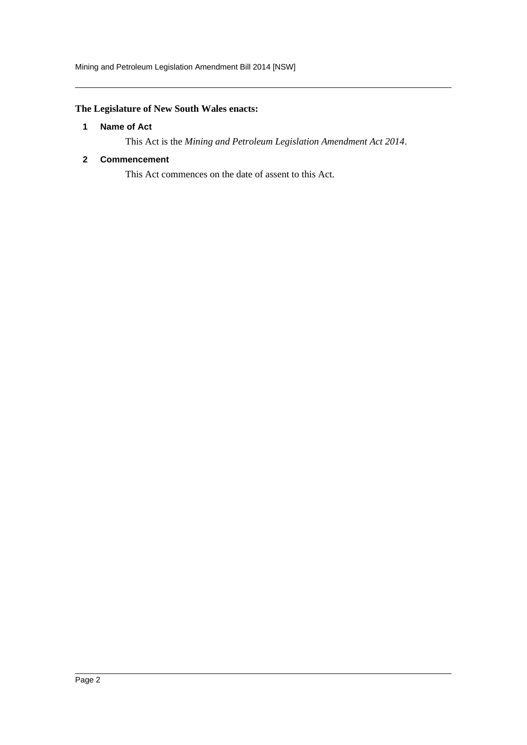Mining and Petroleum Legislation Amendment Bill 2014 [NSW]

# <span id="page-2-0"></span>**The Legislature of New South Wales enacts:**

# **1 Name of Act**

This Act is the *Mining and Petroleum Legislation Amendment Act 2014*.

# <span id="page-2-1"></span>**2 Commencement**

This Act commences on the date of assent to this Act.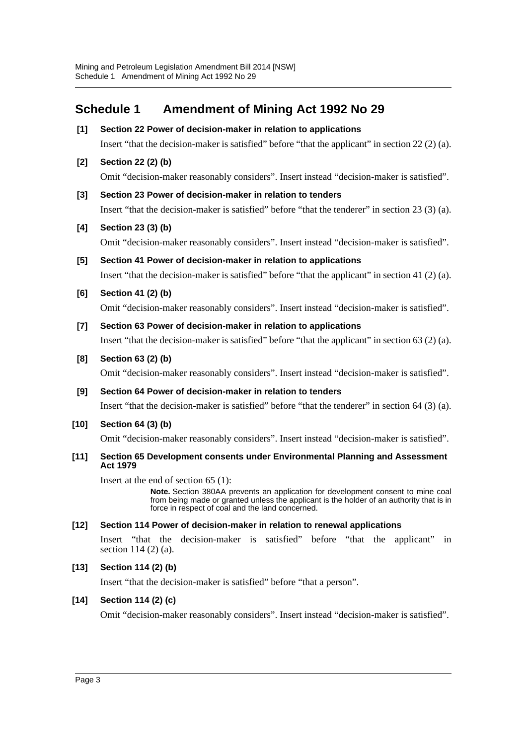# <span id="page-3-0"></span>**Schedule 1 Amendment of Mining Act 1992 No 29**

- **[1] Section 22 Power of decision-maker in relation to applications** Insert "that the decision-maker is satisfied" before "that the applicant" in section 22 (2) (a).
- **[2] Section 22 (2) (b)**

Omit "decision-maker reasonably considers". Insert instead "decision-maker is satisfied".

**[3] Section 23 Power of decision-maker in relation to tenders**

Insert "that the decision-maker is satisfied" before "that the tenderer" in section 23 (3) (a).

**[4] Section 23 (3) (b)**

Omit "decision-maker reasonably considers". Insert instead "decision-maker is satisfied".

- **[5] Section 41 Power of decision-maker in relation to applications** Insert "that the decision-maker is satisfied" before "that the applicant" in section 41 (2) (a).
- **[6] Section 41 (2) (b)**

Omit "decision-maker reasonably considers". Insert instead "decision-maker is satisfied".

- **[7] Section 63 Power of decision-maker in relation to applications** Insert "that the decision-maker is satisfied" before "that the applicant" in section 63 (2) (a).
- **[8] Section 63 (2) (b)**

Omit "decision-maker reasonably considers". Insert instead "decision-maker is satisfied".

**[9] Section 64 Power of decision-maker in relation to tenders**

Insert "that the decision-maker is satisfied" before "that the tenderer" in section 64 (3) (a).

**[10] Section 64 (3) (b)**

Omit "decision-maker reasonably considers". Insert instead "decision-maker is satisfied".

#### **[11] Section 65 Development consents under Environmental Planning and Assessment Act 1979**

Insert at the end of section 65 (1):

**Note.** Section 380AA prevents an application for development consent to mine coal from being made or granted unless the applicant is the holder of an authority that is in force in respect of coal and the land concerned.

#### **[12] Section 114 Power of decision-maker in relation to renewal applications**

Insert "that the decision-maker is satisfied" before "that the applicant" in section 114 (2) (a).

#### **[13] Section 114 (2) (b)**

Insert "that the decision-maker is satisfied" before "that a person".

#### **[14] Section 114 (2) (c)**

Omit "decision-maker reasonably considers". Insert instead "decision-maker is satisfied".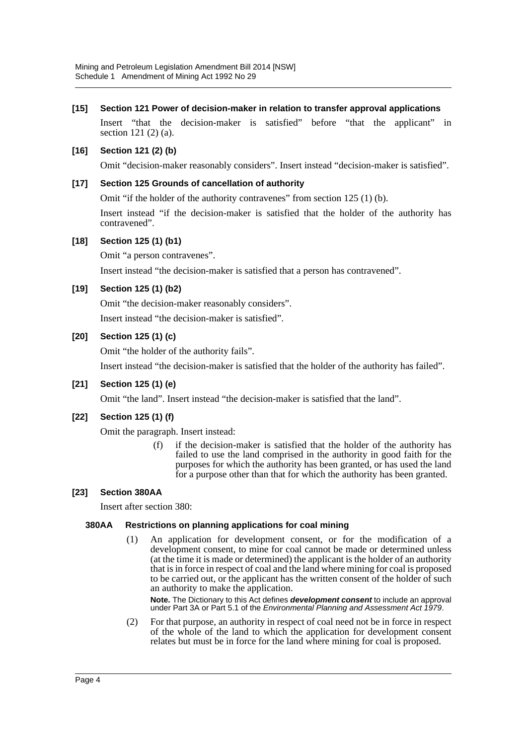# **[15] Section 121 Power of decision-maker in relation to transfer approval applications**

Insert "that the decision-maker is satisfied" before "that the applicant" in section 121 (2) (a).

# **[16] Section 121 (2) (b)**

Omit "decision-maker reasonably considers". Insert instead "decision-maker is satisfied".

# **[17] Section 125 Grounds of cancellation of authority**

Omit "if the holder of the authority contravenes" from section 125 (1) (b).

Insert instead "if the decision-maker is satisfied that the holder of the authority has contravened".

#### **[18] Section 125 (1) (b1)**

Omit "a person contravenes".

Insert instead "the decision-maker is satisfied that a person has contravened".

# **[19] Section 125 (1) (b2)**

Omit "the decision-maker reasonably considers".

Insert instead "the decision-maker is satisfied".

# **[20] Section 125 (1) (c)**

Omit "the holder of the authority fails".

Insert instead "the decision-maker is satisfied that the holder of the authority has failed".

#### **[21] Section 125 (1) (e)**

Omit "the land". Insert instead "the decision-maker is satisfied that the land".

# **[22] Section 125 (1) (f)**

Omit the paragraph. Insert instead:

(f) if the decision-maker is satisfied that the holder of the authority has failed to use the land comprised in the authority in good faith for the purposes for which the authority has been granted, or has used the land for a purpose other than that for which the authority has been granted.

#### **[23] Section 380AA**

Insert after section 380:

#### **380AA Restrictions on planning applications for coal mining**

(1) An application for development consent, or for the modification of a development consent, to mine for coal cannot be made or determined unless (at the time it is made or determined) the applicant is the holder of an authority that is in force in respect of coal and the land where mining for coal is proposed to be carried out, or the applicant has the written consent of the holder of such an authority to make the application.

**Note.** The Dictionary to this Act defines *development consent* to include an approval under Part 3A or Part 5.1 of the *Environmental Planning and Assessment Act 1979*.

(2) For that purpose, an authority in respect of coal need not be in force in respect of the whole of the land to which the application for development consent relates but must be in force for the land where mining for coal is proposed.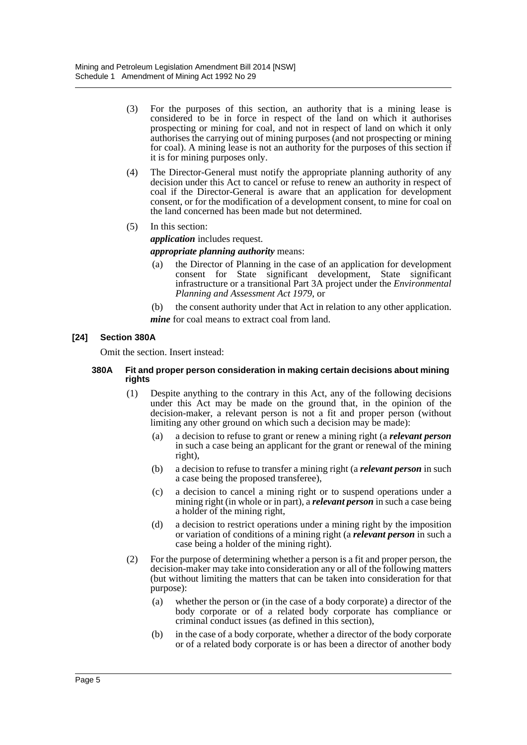- (3) For the purposes of this section, an authority that is a mining lease is considered to be in force in respect of the land on which it authorises prospecting or mining for coal, and not in respect of land on which it only authorises the carrying out of mining purposes (and not prospecting or mining for coal). A mining lease is not an authority for the purposes of this section if it is for mining purposes only.
- (4) The Director-General must notify the appropriate planning authority of any decision under this Act to cancel or refuse to renew an authority in respect of coal if the Director-General is aware that an application for development consent, or for the modification of a development consent, to mine for coal on the land concerned has been made but not determined.
- (5) In this section:

*application* includes request. *appropriate planning authority* means:

- (a) the Director of Planning in the case of an application for development consent for State significant development, State significant infrastructure or a transitional Part 3A project under the *Environmental Planning and Assessment Act 1979*, or
- (b) the consent authority under that Act in relation to any other application.

*mine* for coal means to extract coal from land.

# **[24] Section 380A**

Omit the section. Insert instead:

#### **380A Fit and proper person consideration in making certain decisions about mining rights**

- (1) Despite anything to the contrary in this Act, any of the following decisions under this Act may be made on the ground that, in the opinion of the decision-maker, a relevant person is not a fit and proper person (without limiting any other ground on which such a decision may be made):
	- (a) a decision to refuse to grant or renew a mining right (a *relevant person* in such a case being an applicant for the grant or renewal of the mining right),
	- (b) a decision to refuse to transfer a mining right (a *relevant person* in such a case being the proposed transferee),
	- (c) a decision to cancel a mining right or to suspend operations under a mining right (in whole or in part), a *relevant person* in such a case being a holder of the mining right,
	- (d) a decision to restrict operations under a mining right by the imposition or variation of conditions of a mining right (a *relevant person* in such a case being a holder of the mining right).
- (2) For the purpose of determining whether a person is a fit and proper person, the decision-maker may take into consideration any or all of the following matters (but without limiting the matters that can be taken into consideration for that purpose):
	- (a) whether the person or (in the case of a body corporate) a director of the body corporate or of a related body corporate has compliance or criminal conduct issues (as defined in this section),
	- (b) in the case of a body corporate, whether a director of the body corporate or of a related body corporate is or has been a director of another body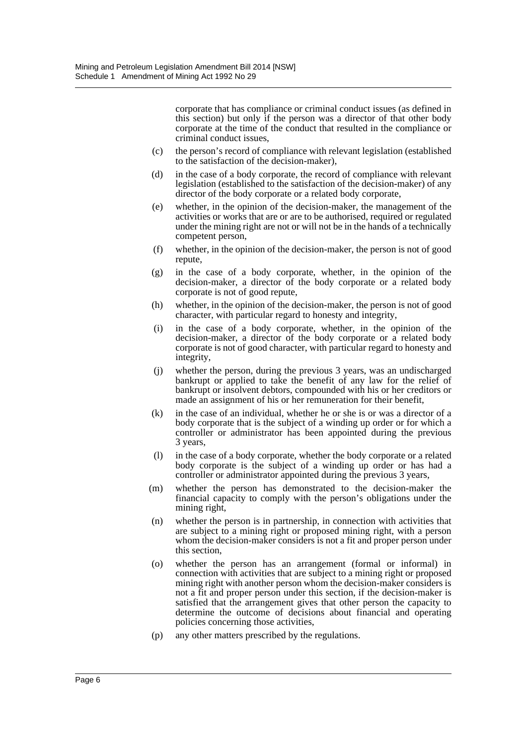corporate that has compliance or criminal conduct issues (as defined in this section) but only if the person was a director of that other body corporate at the time of the conduct that resulted in the compliance or criminal conduct issues,

- (c) the person's record of compliance with relevant legislation (established to the satisfaction of the decision-maker),
- (d) in the case of a body corporate, the record of compliance with relevant legislation (established to the satisfaction of the decision-maker) of any director of the body corporate or a related body corporate,
- (e) whether, in the opinion of the decision-maker, the management of the activities or works that are or are to be authorised, required or regulated under the mining right are not or will not be in the hands of a technically competent person,
- (f) whether, in the opinion of the decision-maker, the person is not of good repute,
- (g) in the case of a body corporate, whether, in the opinion of the decision-maker, a director of the body corporate or a related body corporate is not of good repute,
- (h) whether, in the opinion of the decision-maker, the person is not of good character, with particular regard to honesty and integrity,
- (i) in the case of a body corporate, whether, in the opinion of the decision-maker, a director of the body corporate or a related body corporate is not of good character, with particular regard to honesty and integrity,
- (j) whether the person, during the previous 3 years, was an undischarged bankrupt or applied to take the benefit of any law for the relief of bankrupt or insolvent debtors, compounded with his or her creditors or made an assignment of his or her remuneration for their benefit,
- (k) in the case of an individual, whether he or she is or was a director of a body corporate that is the subject of a winding up order or for which a controller or administrator has been appointed during the previous 3 years,
- (l) in the case of a body corporate, whether the body corporate or a related body corporate is the subject of a winding up order or has had a controller or administrator appointed during the previous 3 years,
- (m) whether the person has demonstrated to the decision-maker the financial capacity to comply with the person's obligations under the mining right,
- (n) whether the person is in partnership, in connection with activities that are subject to a mining right or proposed mining right, with a person whom the decision-maker considers is not a fit and proper person under this section,
- (o) whether the person has an arrangement (formal or informal) in connection with activities that are subject to a mining right or proposed mining right with another person whom the decision-maker considers is not a fit and proper person under this section, if the decision-maker is satisfied that the arrangement gives that other person the capacity to determine the outcome of decisions about financial and operating policies concerning those activities,
- (p) any other matters prescribed by the regulations.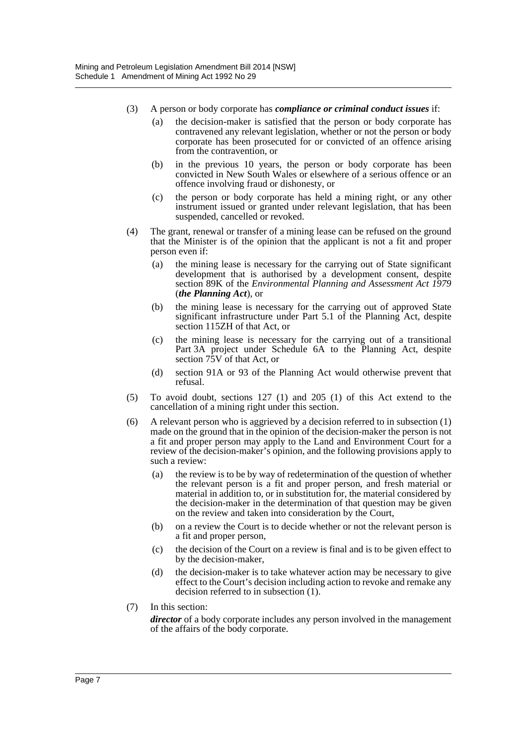- (3) A person or body corporate has *compliance or criminal conduct issues* if:
	- (a) the decision-maker is satisfied that the person or body corporate has contravened any relevant legislation, whether or not the person or body corporate has been prosecuted for or convicted of an offence arising from the contravention, or
	- (b) in the previous 10 years, the person or body corporate has been convicted in New South Wales or elsewhere of a serious offence or an offence involving fraud or dishonesty, or
	- (c) the person or body corporate has held a mining right, or any other instrument issued or granted under relevant legislation, that has been suspended, cancelled or revoked.
- (4) The grant, renewal or transfer of a mining lease can be refused on the ground that the Minister is of the opinion that the applicant is not a fit and proper person even if:
	- (a) the mining lease is necessary for the carrying out of State significant development that is authorised by a development consent, despite section 89K of the *Environmental Planning and Assessment Act 1979* (*the Planning Act*), or
	- (b) the mining lease is necessary for the carrying out of approved State significant infrastructure under Part 5.1 of the Planning Act, despite section 115ZH of that Act, or
	- (c) the mining lease is necessary for the carrying out of a transitional Part 3A project under Schedule 6A to the Planning Act, despite section 75V of that Act, or
	- (d) section 91A or 93 of the Planning Act would otherwise prevent that refusal.
- (5) To avoid doubt, sections 127 (1) and 205 (1) of this Act extend to the cancellation of a mining right under this section.
- (6) A relevant person who is aggrieved by a decision referred to in subsection (1) made on the ground that in the opinion of the decision-maker the person is not a fit and proper person may apply to the Land and Environment Court for a review of the decision-maker's opinion, and the following provisions apply to such a review:
	- (a) the review is to be by way of redetermination of the question of whether the relevant person is a fit and proper person, and fresh material or material in addition to, or in substitution for, the material considered by the decision-maker in the determination of that question may be given on the review and taken into consideration by the Court,
	- (b) on a review the Court is to decide whether or not the relevant person is a fit and proper person,
	- (c) the decision of the Court on a review is final and is to be given effect to by the decision-maker,
	- (d) the decision-maker is to take whatever action may be necessary to give effect to the Court's decision including action to revoke and remake any decision referred to in subsection (1).
- (7) In this section:

*director* of a body corporate includes any person involved in the management of the affairs of the body corporate.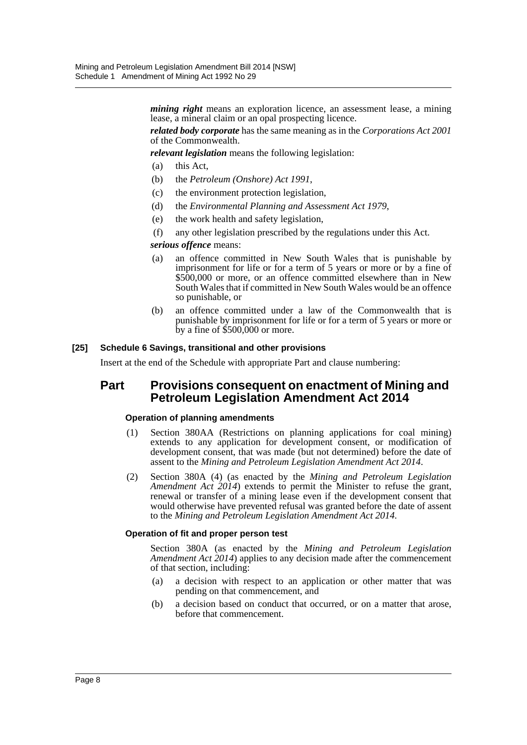*mining right* means an exploration licence, an assessment lease, a mining lease, a mineral claim or an opal prospecting licence.

*related body corporate* has the same meaning as in the *Corporations Act 2001* of the Commonwealth.

*relevant legislation* means the following legislation:

- (a) this Act,
- (b) the *Petroleum (Onshore) Act 1991*,
- (c) the environment protection legislation,
- (d) the *Environmental Planning and Assessment Act 1979*,
- (e) the work health and safety legislation,
- (f) any other legislation prescribed by the regulations under this Act.

#### *serious offence* means:

- (a) an offence committed in New South Wales that is punishable by imprisonment for life or for a term of 5 years or more or by a fine of \$500,000 or more, or an offence committed elsewhere than in New South Wales that if committed in New South Wales would be an offence so punishable, or
- (b) an offence committed under a law of the Commonwealth that is punishable by imprisonment for life or for a term of 5 years or more or by a fine of \$500,000 or more.

#### **[25] Schedule 6 Savings, transitional and other provisions**

Insert at the end of the Schedule with appropriate Part and clause numbering:

# **Part Provisions consequent on enactment of Mining and Petroleum Legislation Amendment Act 2014**

#### **Operation of planning amendments**

- (1) Section 380AA (Restrictions on planning applications for coal mining) extends to any application for development consent, or modification of development consent, that was made (but not determined) before the date of assent to the *Mining and Petroleum Legislation Amendment Act 2014*.
- (2) Section 380A (4) (as enacted by the *Mining and Petroleum Legislation Amendment Act 2014*) extends to permit the Minister to refuse the grant, renewal or transfer of a mining lease even if the development consent that would otherwise have prevented refusal was granted before the date of assent to the *Mining and Petroleum Legislation Amendment Act 2014*.

#### **Operation of fit and proper person test**

Section 380A (as enacted by the *Mining and Petroleum Legislation Amendment Act 2014*) applies to any decision made after the commencement of that section, including:

- (a) a decision with respect to an application or other matter that was pending on that commencement, and
- (b) a decision based on conduct that occurred, or on a matter that arose, before that commencement.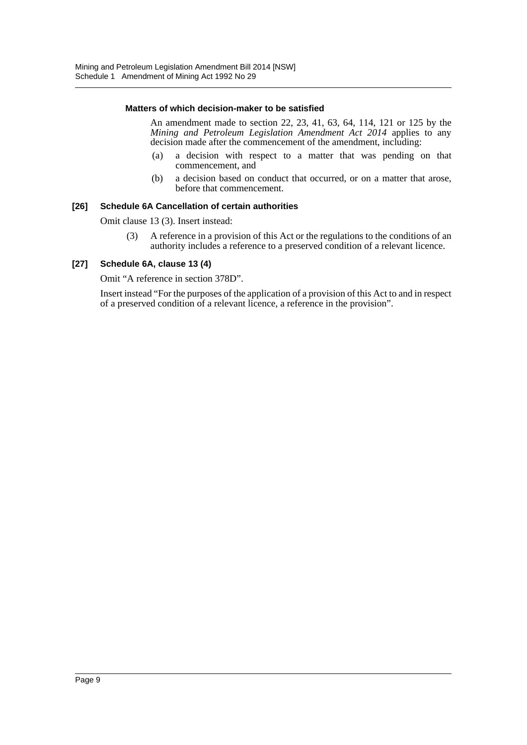#### **Matters of which decision-maker to be satisfied**

An amendment made to section 22, 23, 41, 63, 64, 114, 121 or 125 by the *Mining and Petroleum Legislation Amendment Act 2014* applies to any decision made after the commencement of the amendment, including:

- (a) a decision with respect to a matter that was pending on that commencement, and
- (b) a decision based on conduct that occurred, or on a matter that arose, before that commencement.

#### **[26] Schedule 6A Cancellation of certain authorities**

Omit clause 13 (3). Insert instead:

(3) A reference in a provision of this Act or the regulations to the conditions of an authority includes a reference to a preserved condition of a relevant licence.

#### **[27] Schedule 6A, clause 13 (4)**

Omit "A reference in section 378D".

Insert instead "For the purposes of the application of a provision of this Act to and in respect of a preserved condition of a relevant licence, a reference in the provision".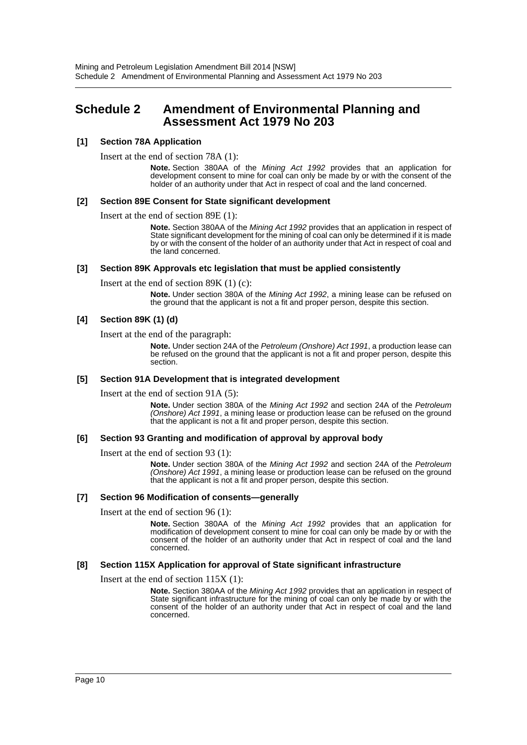# <span id="page-10-0"></span>**Schedule 2 Amendment of Environmental Planning and Assessment Act 1979 No 203**

#### **[1] Section 78A Application**

Insert at the end of section 78A (1):

**Note.** Section 380AA of the *Mining Act 1992* provides that an application for development consent to mine for coal can only be made by or with the consent of the holder of an authority under that Act in respect of coal and the land concerned.

#### **[2] Section 89E Consent for State significant development**

Insert at the end of section 89E (1):

**Note.** Section 380AA of the *Mining Act 1992* provides that an application in respect of State significant development for the mining of coal can only be determined if it is made by or with the consent of the holder of an authority under that Act in respect of coal and the land concerned.

#### **[3] Section 89K Approvals etc legislation that must be applied consistently**

Insert at the end of section 89K (1) (c):

**Note.** Under section 380A of the *Mining Act 1992*, a mining lease can be refused on the ground that the applicant is not a fit and proper person, despite this section.

#### **[4] Section 89K (1) (d)**

Insert at the end of the paragraph:

**Note.** Under section 24A of the *Petroleum (Onshore) Act 1991*, a production lease can be refused on the ground that the applicant is not a fit and proper person, despite this section.

#### **[5] Section 91A Development that is integrated development**

Insert at the end of section 91A (5):

**Note.** Under section 380A of the *Mining Act 1992* and section 24A of the *Petroleum (Onshore) Act 1991*, a mining lease or production lease can be refused on the ground that the applicant is not a fit and proper person, despite this section.

#### **[6] Section 93 Granting and modification of approval by approval body**

Insert at the end of section 93 (1):

**Note.** Under section 380A of the *Mining Act 1992* and section 24A of the *Petroleum (Onshore) Act 1991*, a mining lease or production lease can be refused on the ground that the applicant is not a fit and proper person, despite this section.

#### **[7] Section 96 Modification of consents—generally**

Insert at the end of section 96 (1):

**Note.** Section 380AA of the *Mining Act 1992* provides that an application for modification of development consent to mine for coal can only be made by or with the consent of the holder of an authority under that Act in respect of coal and the land concerned.

#### **[8] Section 115X Application for approval of State significant infrastructure**

Insert at the end of section 115X (1):

**Note.** Section 380AA of the *Mining Act 1992* provides that an application in respect of State significant infrastructure for the mining of coal can only be made by or with the consent of the holder of an authority under that Act in respect of coal and the land concerned.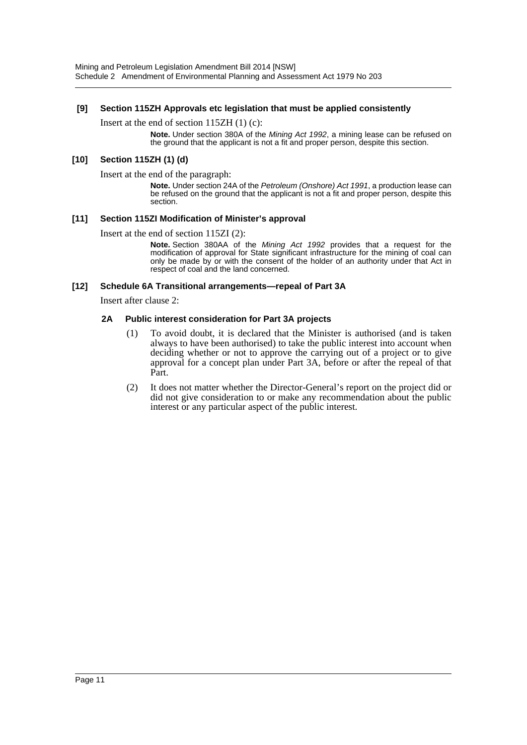### **[9] Section 115ZH Approvals etc legislation that must be applied consistently**

Insert at the end of section 115ZH (1) (c):

**Note.** Under section 380A of the *Mining Act 1992*, a mining lease can be refused on the ground that the applicant is not a fit and proper person, despite this section.

# **[10] Section 115ZH (1) (d)**

Insert at the end of the paragraph:

**Note.** Under section 24A of the *Petroleum (Onshore) Act 1991*, a production lease can be refused on the ground that the applicant is not a fit and proper person, despite this section.

#### **[11] Section 115ZI Modification of Minister's approval**

Insert at the end of section 115ZI (2):

**Note.** Section 380AA of the *Mining Act 1992* provides that a request for the modification of approval for State significant infrastructure for the mining of coal can only be made by or with the consent of the holder of an authority under that Act in respect of coal and the land concerned.

#### **[12] Schedule 6A Transitional arrangements—repeal of Part 3A**

Insert after clause 2:

#### **2A Public interest consideration for Part 3A projects**

- (1) To avoid doubt, it is declared that the Minister is authorised (and is taken always to have been authorised) to take the public interest into account when deciding whether or not to approve the carrying out of a project or to give approval for a concept plan under Part 3A, before or after the repeal of that Part.
- (2) It does not matter whether the Director-General's report on the project did or did not give consideration to or make any recommendation about the public interest or any particular aspect of the public interest.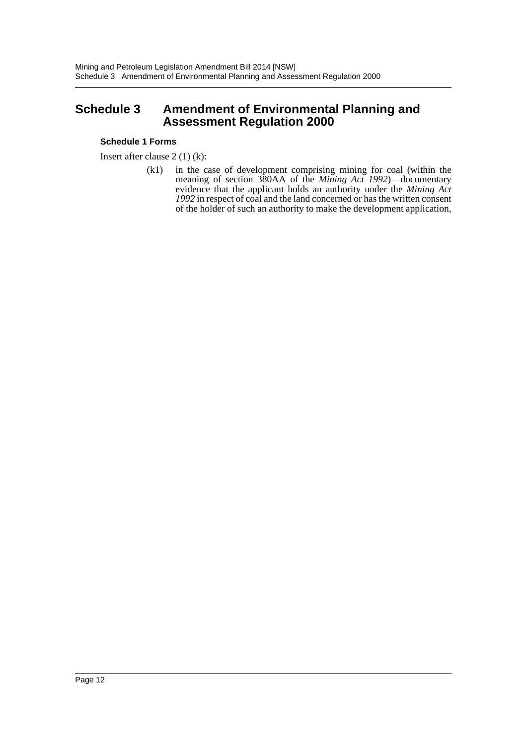# <span id="page-12-0"></span>**Schedule 3 Amendment of Environmental Planning and Assessment Regulation 2000**

# **Schedule 1 Forms**

Insert after clause 2 (1) (k):

(k1) in the case of development comprising mining for coal (within the meaning of section 380AA of the *Mining Act 1992*)—documentary evidence that the applicant holds an authority under the *Mining Act 1992* in respect of coal and the land concerned or has the written consent of the holder of such an authority to make the development application,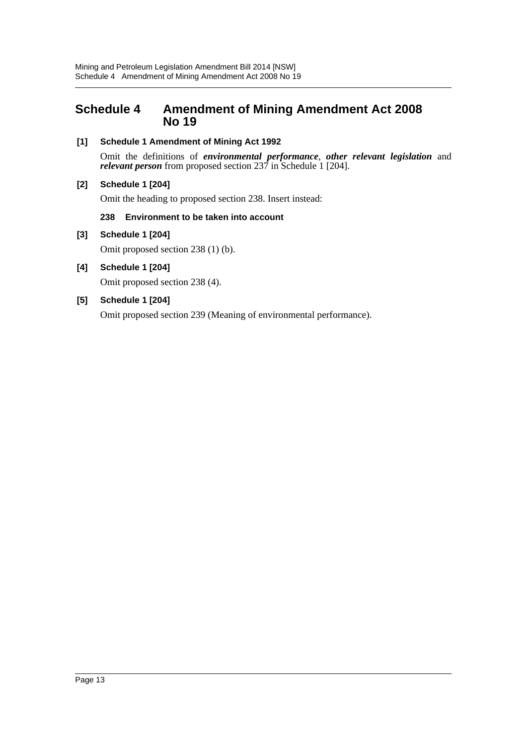# <span id="page-13-0"></span>**Schedule 4 Amendment of Mining Amendment Act 2008 No 19**

# **[1] Schedule 1 Amendment of Mining Act 1992**

Omit the definitions of *environmental performance*, *other relevant legislation* and *relevant person* from proposed section 237 in Schedule 1 [204].

# **[2] Schedule 1 [204]**

Omit the heading to proposed section 238. Insert instead:

#### **238 Environment to be taken into account**

# **[3] Schedule 1 [204]**

Omit proposed section 238 (1) (b).

**[4] Schedule 1 [204]** Omit proposed section 238 (4).

# **[5] Schedule 1 [204]**

Omit proposed section 239 (Meaning of environmental performance).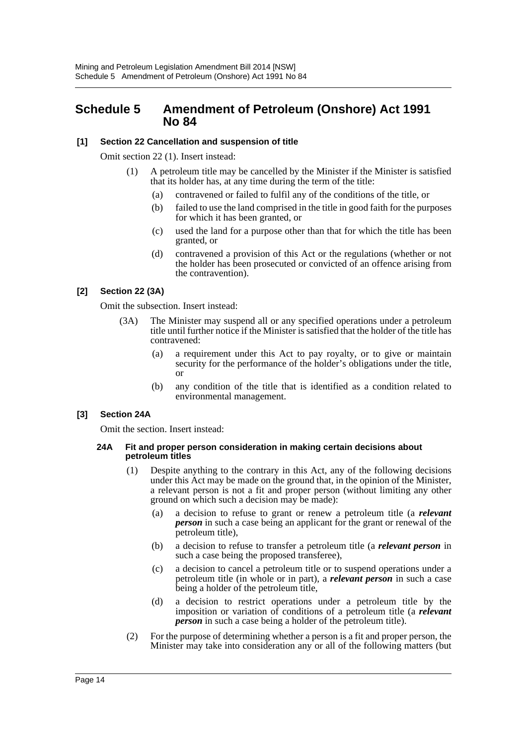# <span id="page-14-0"></span>**Schedule 5 Amendment of Petroleum (Onshore) Act 1991 No 84**

# **[1] Section 22 Cancellation and suspension of title**

Omit section 22 (1). Insert instead:

- (1) A petroleum title may be cancelled by the Minister if the Minister is satisfied that its holder has, at any time during the term of the title:
	- (a) contravened or failed to fulfil any of the conditions of the title, or
	- (b) failed to use the land comprised in the title in good faith for the purposes for which it has been granted, or
	- (c) used the land for a purpose other than that for which the title has been granted, or
	- (d) contravened a provision of this Act or the regulations (whether or not the holder has been prosecuted or convicted of an offence arising from the contravention).

# **[2] Section 22 (3A)**

Omit the subsection. Insert instead:

- (3A) The Minister may suspend all or any specified operations under a petroleum title until further notice if the Minister is satisfied that the holder of the title has contravened:
	- (a) a requirement under this Act to pay royalty, or to give or maintain security for the performance of the holder's obligations under the title, or
	- (b) any condition of the title that is identified as a condition related to environmental management.

#### **[3] Section 24A**

Omit the section. Insert instead:

#### **24A Fit and proper person consideration in making certain decisions about petroleum titles**

- (1) Despite anything to the contrary in this Act, any of the following decisions under this Act may be made on the ground that, in the opinion of the Minister, a relevant person is not a fit and proper person (without limiting any other ground on which such a decision may be made):
	- (a) a decision to refuse to grant or renew a petroleum title (a *relevant person* in such a case being an applicant for the grant or renewal of the petroleum title),
	- (b) a decision to refuse to transfer a petroleum title (a *relevant person* in such a case being the proposed transferee),
	- (c) a decision to cancel a petroleum title or to suspend operations under a petroleum title (in whole or in part), a *relevant person* in such a case being a holder of the petroleum title,
	- (d) a decision to restrict operations under a petroleum title by the imposition or variation of conditions of a petroleum title (a *relevant person* in such a case being a holder of the petroleum title).
- (2) For the purpose of determining whether a person is a fit and proper person, the Minister may take into consideration any or all of the following matters (but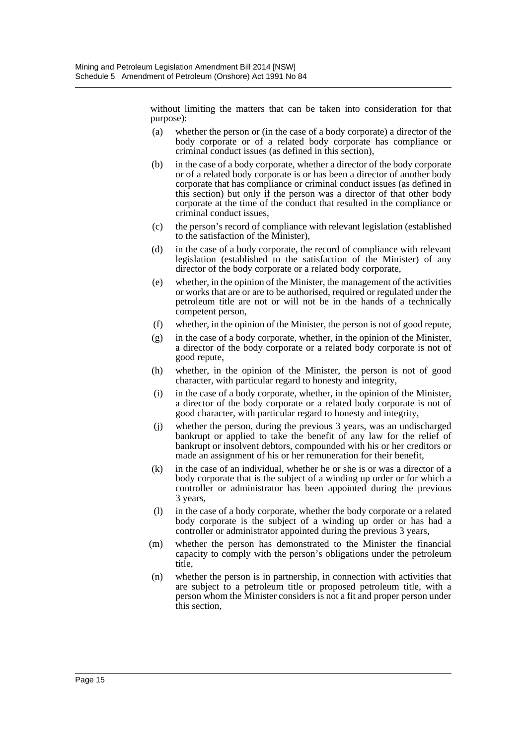without limiting the matters that can be taken into consideration for that purpose):

- (a) whether the person or (in the case of a body corporate) a director of the body corporate or of a related body corporate has compliance or criminal conduct issues (as defined in this section),
- (b) in the case of a body corporate, whether a director of the body corporate or of a related body corporate is or has been a director of another body corporate that has compliance or criminal conduct issues (as defined in this section) but only if the person was a director of that other body corporate at the time of the conduct that resulted in the compliance or criminal conduct issues,
- (c) the person's record of compliance with relevant legislation (established to the satisfaction of the Minister),
- (d) in the case of a body corporate, the record of compliance with relevant legislation (established to the satisfaction of the Minister) of any director of the body corporate or a related body corporate,
- (e) whether, in the opinion of the Minister, the management of the activities or works that are or are to be authorised, required or regulated under the petroleum title are not or will not be in the hands of a technically competent person,
- (f) whether, in the opinion of the Minister, the person is not of good repute,
- (g) in the case of a body corporate, whether, in the opinion of the Minister, a director of the body corporate or a related body corporate is not of good repute,
- (h) whether, in the opinion of the Minister, the person is not of good character, with particular regard to honesty and integrity,
- (i) in the case of a body corporate, whether, in the opinion of the Minister, a director of the body corporate or a related body corporate is not of good character, with particular regard to honesty and integrity,
- (j) whether the person, during the previous 3 years, was an undischarged bankrupt or applied to take the benefit of any law for the relief of bankrupt or insolvent debtors, compounded with his or her creditors or made an assignment of his or her remuneration for their benefit,
- (k) in the case of an individual, whether he or she is or was a director of a body corporate that is the subject of a winding up order or for which a controller or administrator has been appointed during the previous 3 years,
- (l) in the case of a body corporate, whether the body corporate or a related body corporate is the subject of a winding up order or has had a controller or administrator appointed during the previous 3 years,
- (m) whether the person has demonstrated to the Minister the financial capacity to comply with the person's obligations under the petroleum title,
- (n) whether the person is in partnership, in connection with activities that are subject to a petroleum title or proposed petroleum title, with a person whom the Minister considers is not a fit and proper person under this section,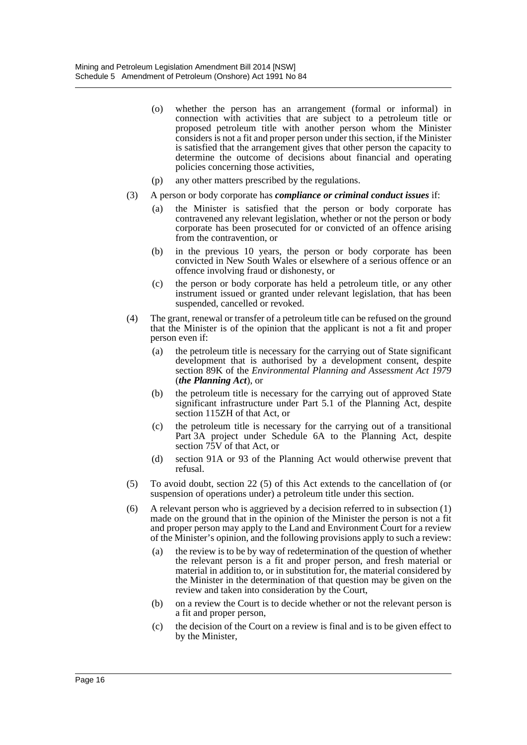- (o) whether the person has an arrangement (formal or informal) in connection with activities that are subject to a petroleum title or proposed petroleum title with another person whom the Minister considers is not a fit and proper person under this section, if the Minister is satisfied that the arrangement gives that other person the capacity to determine the outcome of decisions about financial and operating policies concerning those activities,
- (p) any other matters prescribed by the regulations.
- (3) A person or body corporate has *compliance or criminal conduct issues* if:
	- (a) the Minister is satisfied that the person or body corporate has contravened any relevant legislation, whether or not the person or body corporate has been prosecuted for or convicted of an offence arising from the contravention, or
	- (b) in the previous 10 years, the person or body corporate has been convicted in New South Wales or elsewhere of a serious offence or an offence involving fraud or dishonesty, or
	- (c) the person or body corporate has held a petroleum title, or any other instrument issued or granted under relevant legislation, that has been suspended, cancelled or revoked.
- (4) The grant, renewal or transfer of a petroleum title can be refused on the ground that the Minister is of the opinion that the applicant is not a fit and proper person even if:
	- (a) the petroleum title is necessary for the carrying out of State significant development that is authorised by a development consent, despite section 89K of the *Environmental Planning and Assessment Act 1979* (*the Planning Act*), or
	- (b) the petroleum title is necessary for the carrying out of approved State significant infrastructure under Part 5.1 of the Planning Act, despite section 115ZH of that Act, or
	- (c) the petroleum title is necessary for the carrying out of a transitional Part 3A project under Schedule 6A to the Planning Act, despite section 75V of that Act, or
	- (d) section 91A or 93 of the Planning Act would otherwise prevent that refusal.
- (5) To avoid doubt, section 22 (5) of this Act extends to the cancellation of (or suspension of operations under) a petroleum title under this section.
- (6) A relevant person who is aggrieved by a decision referred to in subsection (1) made on the ground that in the opinion of the Minister the person is not a fit and proper person may apply to the Land and Environment Court for a review of the Minister's opinion, and the following provisions apply to such a review:
	- (a) the review is to be by way of redetermination of the question of whether the relevant person is a fit and proper person, and fresh material or material in addition to, or in substitution for, the material considered by the Minister in the determination of that question may be given on the review and taken into consideration by the Court,
	- (b) on a review the Court is to decide whether or not the relevant person is a fit and proper person,
	- (c) the decision of the Court on a review is final and is to be given effect to by the Minister,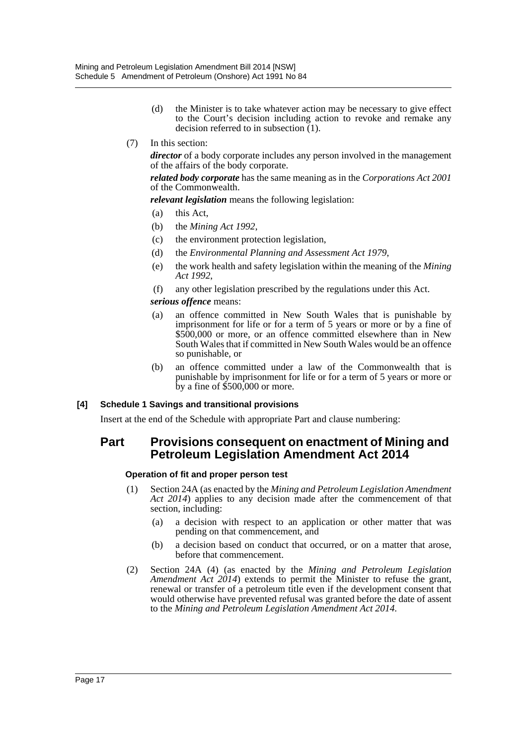- (d) the Minister is to take whatever action may be necessary to give effect to the Court's decision including action to revoke and remake any decision referred to in subsection (1).
- (7) In this section:

*director* of a body corporate includes any person involved in the management of the affairs of the body corporate.

*related body corporate* has the same meaning as in the *Corporations Act 2001* of the Commonwealth.

*relevant legislation* means the following legislation:

- (a) this Act,
- (b) the *Mining Act 1992*,
- (c) the environment protection legislation,
- (d) the *Environmental Planning and Assessment Act 1979*,
- (e) the work health and safety legislation within the meaning of the *Mining Act 1992*,
- (f) any other legislation prescribed by the regulations under this Act.

*serious offence* means:

- (a) an offence committed in New South Wales that is punishable by imprisonment for life or for a term of 5 years or more or by a fine of \$500,000 or more, or an offence committed elsewhere than in New South Wales that if committed in New South Wales would be an offence so punishable, or
- (b) an offence committed under a law of the Commonwealth that is punishable by imprisonment for life or for a term of 5 years or more or by a fine of \$500,000 or more.

#### **[4] Schedule 1 Savings and transitional provisions**

Insert at the end of the Schedule with appropriate Part and clause numbering:

# **Part Provisions consequent on enactment of Mining and Petroleum Legislation Amendment Act 2014**

#### **Operation of fit and proper person test**

- (1) Section 24A (as enacted by the *Mining and Petroleum Legislation Amendment Act 2014*) applies to any decision made after the commencement of that section, including:
	- (a) a decision with respect to an application or other matter that was pending on that commencement, and
	- (b) a decision based on conduct that occurred, or on a matter that arose, before that commencement.
- (2) Section 24A (4) (as enacted by the *Mining and Petroleum Legislation Amendment Act 2014*) extends to permit the Minister to refuse the grant, renewal or transfer of a petroleum title even if the development consent that would otherwise have prevented refusal was granted before the date of assent to the *Mining and Petroleum Legislation Amendment Act 2014*.